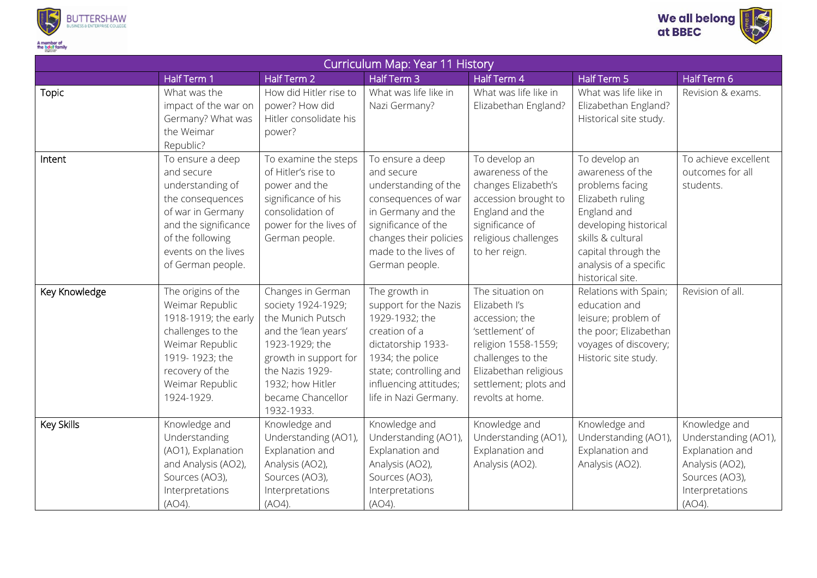



| Curriculum Map: Year 11 History |                                                                                                                                                                                     |                                                                                                                                                                                                           |                                                                                                                                                                                                  |                                                                                                                                                                                          |                                                                                                                                                                                                            |                                                                                                                            |  |  |  |  |
|---------------------------------|-------------------------------------------------------------------------------------------------------------------------------------------------------------------------------------|-----------------------------------------------------------------------------------------------------------------------------------------------------------------------------------------------------------|--------------------------------------------------------------------------------------------------------------------------------------------------------------------------------------------------|------------------------------------------------------------------------------------------------------------------------------------------------------------------------------------------|------------------------------------------------------------------------------------------------------------------------------------------------------------------------------------------------------------|----------------------------------------------------------------------------------------------------------------------------|--|--|--|--|
|                                 | Half Term 1                                                                                                                                                                         | Half Term 2                                                                                                                                                                                               | Half Term 3                                                                                                                                                                                      | Half Term 4                                                                                                                                                                              | Half Term 5                                                                                                                                                                                                | Half Term 6                                                                                                                |  |  |  |  |
| <b>Topic</b>                    | What was the<br>impact of the war on<br>Germany? What was<br>the Weimar<br>Republic?                                                                                                | How did Hitler rise to<br>power? How did<br>Hitler consolidate his<br>power?                                                                                                                              | What was life like in<br>Nazi Germany?                                                                                                                                                           | What was life like in<br>Elizabethan England?                                                                                                                                            | What was life like in<br>Elizabethan England?<br>Historical site study.                                                                                                                                    | Revision & exams.                                                                                                          |  |  |  |  |
| Intent                          | To ensure a deep<br>and secure<br>understanding of<br>the consequences<br>of war in Germany<br>and the significance<br>of the following<br>events on the lives<br>of German people. | To examine the steps<br>of Hitler's rise to<br>power and the<br>significance of his<br>consolidation of<br>power for the lives of<br>German people.                                                       | To ensure a deep<br>and secure<br>understanding of the<br>consequences of war<br>in Germany and the<br>significance of the<br>changes their policies<br>made to the lives of<br>German people.   | To develop an<br>awareness of the<br>changes Elizabeth's<br>accession brought to<br>England and the<br>significance of<br>religious challenges<br>to her reign.                          | To develop an<br>awareness of the<br>problems facing<br>Elizabeth ruling<br>England and<br>developing historical<br>skills & cultural<br>capital through the<br>analysis of a specific<br>historical site. | To achieve excellent<br>outcomes for all<br>students.                                                                      |  |  |  |  |
| Key Knowledge                   | The origins of the<br>Weimar Republic<br>1918-1919; the early<br>challenges to the<br>Weimar Republic<br>1919-1923; the<br>recovery of the<br>Weimar Republic<br>1924-1929.         | Changes in German<br>society 1924-1929;<br>the Munich Putsch<br>and the 'lean years'<br>1923-1929; the<br>growth in support for<br>the Nazis 1929-<br>1932; how Hitler<br>became Chancellor<br>1932-1933. | The growth in<br>support for the Nazis<br>1929-1932; the<br>creation of a<br>dictatorship 1933-<br>1934; the police<br>state; controlling and<br>influencing attitudes;<br>life in Nazi Germany. | The situation on<br>Elizabeth I's<br>accession; the<br>'settlement' of<br>religion 1558-1559;<br>challenges to the<br>Elizabethan religious<br>settlement; plots and<br>revolts at home. | Relations with Spain;<br>education and<br>leisure; problem of<br>the poor; Elizabethan<br>voyages of discovery;<br>Historic site study.                                                                    | Revision of all.                                                                                                           |  |  |  |  |
| Key Skills                      | Knowledge and<br>Understanding<br>(AO1), Explanation<br>and Analysis (AO2),<br>Sources (AO3),<br>Interpretations<br>(AO4).                                                          | Knowledge and<br>Understanding (AO1)<br>Explanation and<br>Analysis (AO2),<br>Sources (AO3),<br>Interpretations<br>(AO4).                                                                                 | Knowledge and<br>Understanding (AO1),<br>Explanation and<br>Analysis (AO2),<br>Sources (AO3),<br>Interpretations<br>(AO4).                                                                       | Knowledge and<br>Understanding (AO1),<br>Explanation and<br>Analysis (AO2).                                                                                                              | Knowledge and<br>Understanding (AO1),<br>Explanation and<br>Analysis (AO2).                                                                                                                                | Knowledge and<br>Understanding (AO1),<br>Explanation and<br>Analysis (AO2),<br>Sources (AO3),<br>Interpretations<br>(AO4). |  |  |  |  |